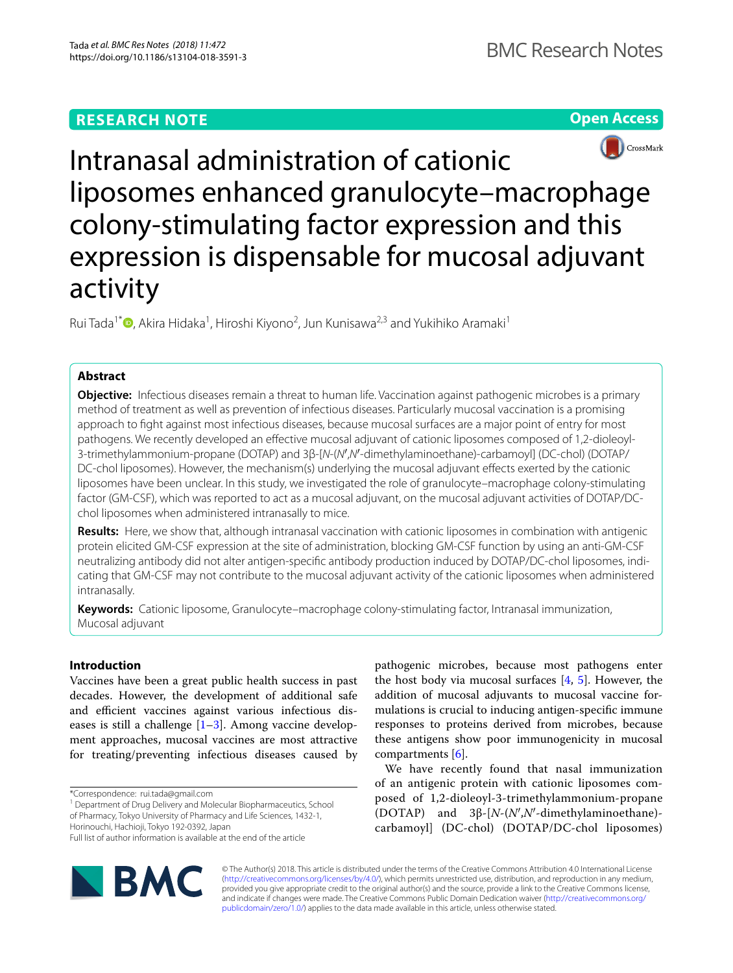



Intranasal administration of cationic liposomes enhanced granulocyte–macrophage colony-stimulating factor expression and this expression is dispensable for mucosal adjuvant activity

Rui Tada<sup>1\*</sup><sup>®</sup>[,](http://orcid.org/0000-0003-0098-9587) Akira Hidaka<sup>1</sup>, Hiroshi Kiyono<sup>2</sup>, Jun Kunisawa<sup>2,3</sup> and Yukihiko Aramaki<sup>1</sup>

# **Abstract**

**Objective:** Infectious diseases remain a threat to human life. Vaccination against pathogenic microbes is a primary method of treatment as well as prevention of infectious diseases. Particularly mucosal vaccination is a promising approach to fght against most infectious diseases, because mucosal surfaces are a major point of entry for most pathogens. We recently developed an efective mucosal adjuvant of cationic liposomes composed of 1,2-dioleoyl-3-trimethylammonium-propane (DOTAP) and 3β-[*N*-(*N*′,*N*′-dimethylaminoethane)-carbamoyl] (DC-chol) (DOTAP/ DC-chol liposomes). However, the mechanism(s) underlying the mucosal adjuvant efects exerted by the cationic liposomes have been unclear. In this study, we investigated the role of granulocyte–macrophage colony-stimulating factor (GM-CSF), which was reported to act as a mucosal adjuvant, on the mucosal adjuvant activities of DOTAP/DCchol liposomes when administered intranasally to mice.

**Results:** Here, we show that, although intranasal vaccination with cationic liposomes in combination with antigenic protein elicited GM-CSF expression at the site of administration, blocking GM-CSF function by using an anti-GM-CSF neutralizing antibody did not alter antigen-specifc antibody production induced by DOTAP/DC-chol liposomes, indicating that GM-CSF may not contribute to the mucosal adjuvant activity of the cationic liposomes when administered intranasally.

**Keywords:** Cationic liposome, Granulocyte–macrophage colony-stimulating factor, Intranasal immunization, Mucosal adjuvant

# **Introduction**

Vaccines have been a great public health success in past decades. However, the development of additional safe and efficient vaccines against various infectious diseases is still a challenge  $[1-3]$  $[1-3]$  $[1-3]$ . Among vaccine development approaches, mucosal vaccines are most attractive for treating/preventing infectious diseases caused by

<sup>1</sup> Department of Drug Delivery and Molecular Biopharmaceutics, School of Pharmacy, Tokyo University of Pharmacy and Life Sciences, 1432-1, Horinouchi, Hachioji, Tokyo 192-0392, Japan

Full list of author information is available at the end of the article



pathogenic microbes, because most pathogens enter the host body via mucosal surfaces [[4,](#page-7-0) [5\]](#page-7-1). However, the addition of mucosal adjuvants to mucosal vaccine formulations is crucial to inducing antigen-specifc immune responses to proteins derived from microbes, because these antigens show poor immunogenicity in mucosal compartments [\[6\]](#page-7-2).

We have recently found that nasal immunization of an antigenic protein with cationic liposomes composed of 1,2-dioleoyl-3-trimethylammonium-propane (DOTAP) and 3β-[*N*-(*N*′,*N*′-dimethylaminoethane) carbamoyl] (DC-chol) (DOTAP/DC-chol liposomes)

© The Author(s) 2018. This article is distributed under the terms of the Creative Commons Attribution 4.0 International License [\(http://creativecommons.org/licenses/by/4.0/\)](http://creativecommons.org/licenses/by/4.0/), which permits unrestricted use, distribution, and reproduction in any medium, provided you give appropriate credit to the original author(s) and the source, provide a link to the Creative Commons license, and indicate if changes were made. The Creative Commons Public Domain Dedication waiver ([http://creativecommons.org/](http://creativecommons.org/publicdomain/zero/1.0/) [publicdomain/zero/1.0/](http://creativecommons.org/publicdomain/zero/1.0/)) applies to the data made available in this article, unless otherwise stated.

<sup>\*</sup>Correspondence: rui.tada@gmail.com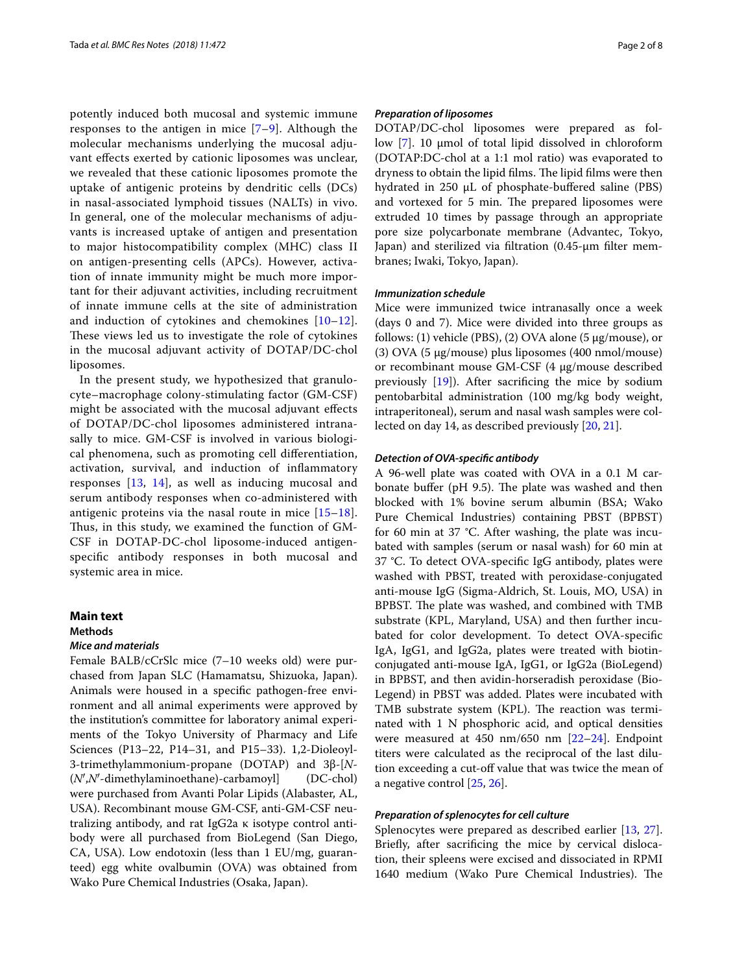potently induced both mucosal and systemic immune responses to the antigen in mice [\[7–](#page-7-3)[9\]](#page-7-4). Although the molecular mechanisms underlying the mucosal adjuvant efects exerted by cationic liposomes was unclear, we revealed that these cationic liposomes promote the uptake of antigenic proteins by dendritic cells (DCs) in nasal-associated lymphoid tissues (NALTs) in vivo. In general, one of the molecular mechanisms of adjuvants is increased uptake of antigen and presentation to major histocompatibility complex (MHC) class II on antigen-presenting cells (APCs). However, activation of innate immunity might be much more important for their adjuvant activities, including recruitment of innate immune cells at the site of administration and induction of cytokines and chemokines [[10–](#page-7-5)[12\]](#page-7-6). These views led us to investigate the role of cytokines in the mucosal adjuvant activity of DOTAP/DC-chol liposomes.

In the present study, we hypothesized that granulocyte–macrophage colony-stimulating factor (GM-CSF) might be associated with the mucosal adjuvant efects of DOTAP/DC-chol liposomes administered intranasally to mice. GM-CSF is involved in various biological phenomena, such as promoting cell diferentiation, activation, survival, and induction of infammatory responses [\[13](#page-7-7), [14\]](#page-7-8), as well as inducing mucosal and serum antibody responses when co-administered with antigenic proteins via the nasal route in mice [[15–](#page-7-9)[18\]](#page-7-10). Thus, in this study, we examined the function of GM-CSF in DOTAP-DC-chol liposome-induced antigenspecifc antibody responses in both mucosal and systemic area in mice.

## **Main text**

## **Methods**

## *Mice and materials*

Female BALB/cCrSlc mice (7–10 weeks old) were purchased from Japan SLC (Hamamatsu, Shizuoka, Japan). Animals were housed in a specifc pathogen-free environment and all animal experiments were approved by the institution's committee for laboratory animal experiments of the Tokyo University of Pharmacy and Life Sciences (P13–22, P14–31, and P15–33). 1,2-Dioleoyl-3-trimethylammonium-propane (DOTAP) and 3β-[*N*- (*N*′,*N*′-dimethylaminoethane)-carbamoyl] (DC-chol) were purchased from Avanti Polar Lipids (Alabaster, AL, USA). Recombinant mouse GM-CSF, anti-GM-CSF neutralizing antibody, and rat IgG2a κ isotype control antibody were all purchased from BioLegend (San Diego, CA, USA). Low endotoxin (less than 1 EU/mg, guaranteed) egg white ovalbumin (OVA) was obtained from Wako Pure Chemical Industries (Osaka, Japan).

### *Preparation of liposomes*

DOTAP/DC-chol liposomes were prepared as follow [[7\]](#page-7-3). 10 μmol of total lipid dissolved in chloroform (DOTAP:DC-chol at a 1:1 mol ratio) was evaporated to dryness to obtain the lipid films. The lipid films were then hydrated in 250 μL of phosphate-bufered saline (PBS) and vortexed for 5 min. The prepared liposomes were extruded 10 times by passage through an appropriate pore size polycarbonate membrane (Advantec, Tokyo, Japan) and sterilized via fltration (0.45-μm flter membranes; Iwaki, Tokyo, Japan).

#### *Immunization schedule*

Mice were immunized twice intranasally once a week (days 0 and 7). Mice were divided into three groups as follows: (1) vehicle (PBS), (2) OVA alone (5 µg/mouse), or (3) OVA (5 µg/mouse) plus liposomes (400 nmol/mouse) or recombinant mouse GM-CSF (4 µg/mouse described previously  $[19]$  $[19]$ ). After sacrificing the mice by sodium pentobarbital administration (100 mg/kg body weight, intraperitoneal), serum and nasal wash samples were collected on day 14, as described previously [[20,](#page-7-12) [21](#page-7-13)].

### *Detection of OVA‑specifc antibody*

A 96-well plate was coated with OVA in a 0.1 M carbonate buffer (pH 9.5). The plate was washed and then blocked with 1% bovine serum albumin (BSA; Wako Pure Chemical Industries) containing PBST (BPBST) for 60 min at 37 °C. After washing, the plate was incubated with samples (serum or nasal wash) for 60 min at 37 °C. To detect OVA-specifc IgG antibody, plates were washed with PBST, treated with peroxidase-conjugated anti-mouse IgG (Sigma-Aldrich, St. Louis, MO, USA) in BPBST. The plate was washed, and combined with TMB substrate (KPL, Maryland, USA) and then further incubated for color development. To detect OVA-specifc IgA, IgG1, and IgG2a, plates were treated with biotinconjugated anti-mouse IgA, IgG1, or IgG2a (BioLegend) in BPBST, and then avidin-horseradish peroxidase (Bio-Legend) in PBST was added. Plates were incubated with TMB substrate system (KPL). The reaction was terminated with 1 N phosphoric acid, and optical densities were measured at 450  $nm/650$  nm  $[22-24]$  $[22-24]$  $[22-24]$ . Endpoint titers were calculated as the reciprocal of the last dilution exceeding a cut-off value that was twice the mean of a negative control [[25,](#page-7-16) [26](#page-7-17)].

### *Preparation of splenocytes for cell culture*

Splenocytes were prepared as described earlier [[13,](#page-7-7) [27](#page-7-18)]. Briefy, after sacrifcing the mice by cervical dislocation, their spleens were excised and dissociated in RPMI 1640 medium (Wako Pure Chemical Industries). The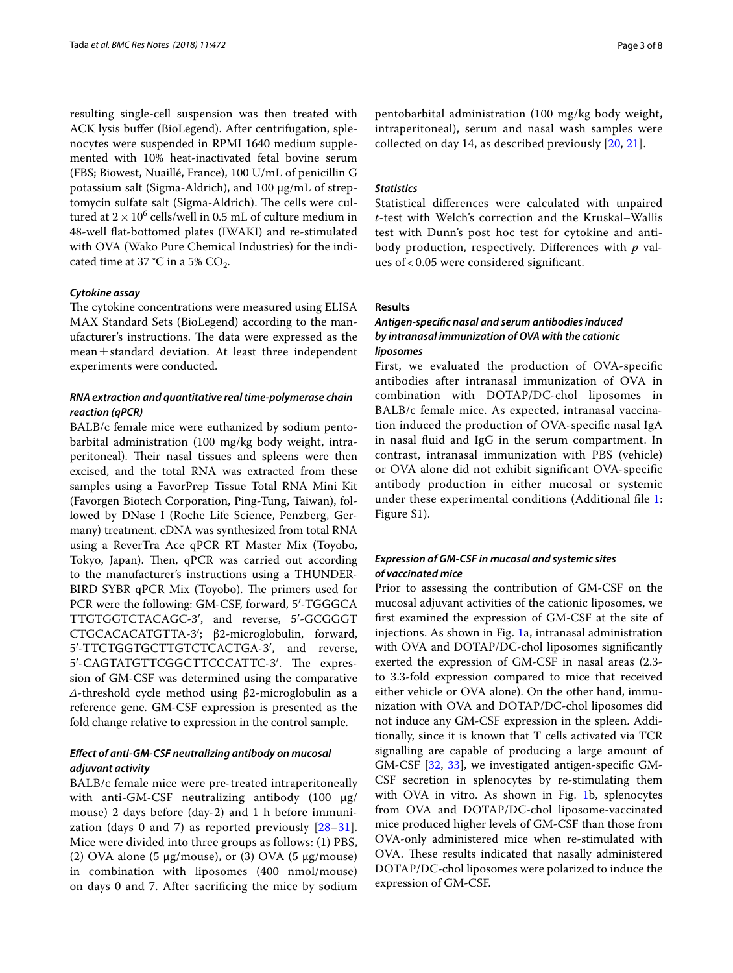resulting single-cell suspension was then treated with ACK lysis bufer (BioLegend). After centrifugation, splenocytes were suspended in RPMI 1640 medium supplemented with 10% heat-inactivated fetal bovine serum (FBS; Biowest, Nuaillé, France), 100 U/mL of penicillin G potassium salt (Sigma-Aldrich), and 100 μg/mL of streptomycin sulfate salt (Sigma-Aldrich). The cells were cultured at  $2 \times 10^6$  cells/well in 0.5 mL of culture medium in 48-well fat-bottomed plates (IWAKI) and re-stimulated with OVA (Wako Pure Chemical Industries) for the indicated time at 37 °C in a 5%  $CO_2$ .

## *Cytokine assay*

The cytokine concentrations were measured using ELISA MAX Standard Sets (BioLegend) according to the manufacturer's instructions. The data were expressed as the mean $\pm$ standard deviation. At least three independent experiments were conducted.

## *RNA extraction and quantitative real time‑polymerase chain reaction (qPCR)*

BALB/c female mice were euthanized by sodium pentobarbital administration (100 mg/kg body weight, intraperitoneal). Their nasal tissues and spleens were then excised, and the total RNA was extracted from these samples using a FavorPrep Tissue Total RNA Mini Kit (Favorgen Biotech Corporation, Ping-Tung, Taiwan), followed by DNase I (Roche Life Science, Penzberg, Germany) treatment. cDNA was synthesized from total RNA using a ReverTra Ace qPCR RT Master Mix (Toyobo, Tokyo, Japan). Then, qPCR was carried out according to the manufacturer's instructions using a THUNDER-BIRD SYBR qPCR Mix (Toyobo). The primers used for PCR were the following: GM-CSF, forward, 5′-TGGGCA TTGTGGTCTACAGC-3′, and reverse, 5′-GCGGGT CTGCACACATGTTA-3′; β2-microglobulin, forward, 5′-TTCTGGTGCTTGTCTCACTGA-3′, and reverse, 5'-CAGTATGTTCGGCTTCCCATTC-3'. The expression of GM-CSF was determined using the comparative *Δ*-threshold cycle method using β2-microglobulin as a reference gene. GM-CSF expression is presented as the fold change relative to expression in the control sample.

## *Efect of anti‑GM‑CSF neutralizing antibody on mucosal adjuvant activity*

BALB/c female mice were pre-treated intraperitoneally with anti-GM-CSF neutralizing antibody (100 µg/ mouse) 2 days before (day-2) and 1 h before immunization (days 0 and 7) as reported previously  $[28-31]$  $[28-31]$ . Mice were divided into three groups as follows: (1) PBS, (2) OVA alone (5  $\mu$ g/mouse), or (3) OVA (5  $\mu$ g/mouse) in combination with liposomes (400 nmol/mouse) on days 0 and 7. After sacrifcing the mice by sodium

pentobarbital administration (100 mg/kg body weight, intraperitoneal), serum and nasal wash samples were collected on day 14, as described previously [\[20](#page-7-12), [21](#page-7-13)].

## *Statistics*

Statistical diferences were calculated with unpaired *t*-test with Welch's correction and the Kruskal–Wallis test with Dunn's post hoc test for cytokine and antibody production, respectively. Diferences with *p* values of < 0.05 were considered signifcant.

### **Results**

## *Antigen‑specifc nasal and serum antibodies induced by intranasal immunization of OVA with the cationic liposomes*

First, we evaluated the production of OVA-specifc antibodies after intranasal immunization of OVA in combination with DOTAP/DC-chol liposomes in BALB/c female mice. As expected, intranasal vaccination induced the production of OVA-specifc nasal IgA in nasal fuid and IgG in the serum compartment. In contrast, intranasal immunization with PBS (vehicle) or OVA alone did not exhibit signifcant OVA-specifc antibody production in either mucosal or systemic under these experimental conditions (Additional fle [1](#page-6-2): Figure S1).

## *Expression of GM‑CSF in mucosal and systemic sites of vaccinated mice*

Prior to assessing the contribution of GM-CSF on the mucosal adjuvant activities of the cationic liposomes, we frst examined the expression of GM-CSF at the site of injections. As shown in Fig. [1a](#page-3-0), intranasal administration with OVA and DOTAP/DC-chol liposomes signifcantly exerted the expression of GM-CSF in nasal areas (2.3 to 3.3-fold expression compared to mice that received either vehicle or OVA alone). On the other hand, immunization with OVA and DOTAP/DC-chol liposomes did not induce any GM-CSF expression in the spleen. Additionally, since it is known that T cells activated via TCR signalling are capable of producing a large amount of GM-CSF [\[32](#page-7-21), [33\]](#page-7-22), we investigated antigen-specifc GM-CSF secretion in splenocytes by re-stimulating them with OVA in vitro. As shown in Fig. [1b](#page-3-0), splenocytes from OVA and DOTAP/DC-chol liposome-vaccinated mice produced higher levels of GM-CSF than those from OVA-only administered mice when re-stimulated with OVA. These results indicated that nasally administered DOTAP/DC-chol liposomes were polarized to induce the expression of GM-CSF.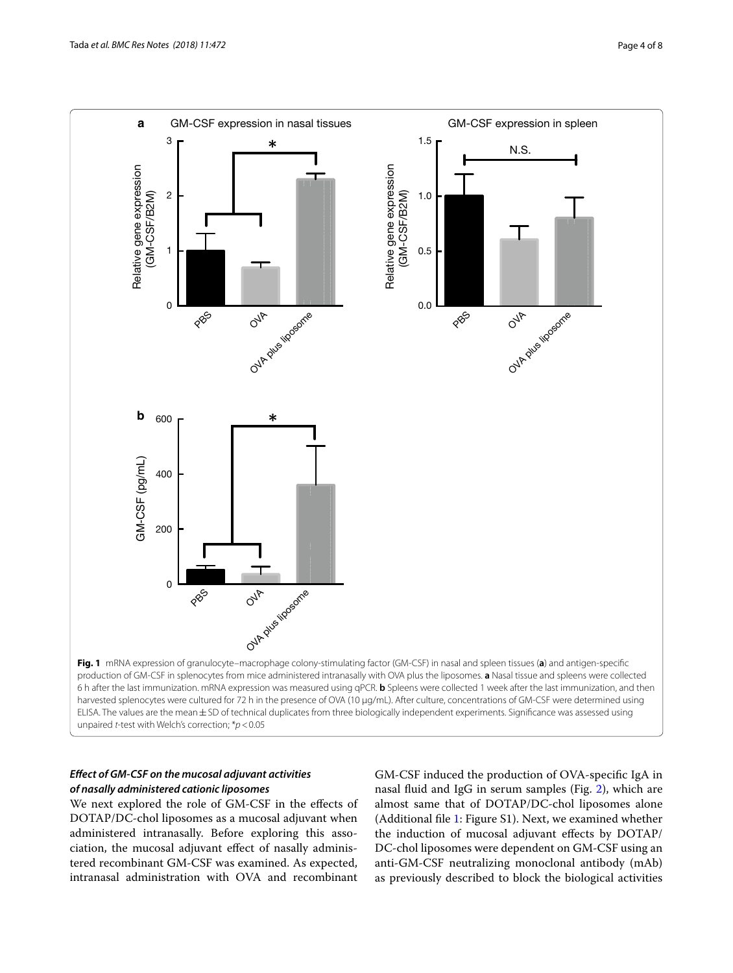

# <span id="page-3-0"></span>*Efect of GM‑CSF on the mucosal adjuvant activities of nasally administered cationic liposomes*

We next explored the role of GM-CSF in the efects of DOTAP/DC-chol liposomes as a mucosal adjuvant when administered intranasally. Before exploring this association, the mucosal adjuvant efect of nasally administered recombinant GM-CSF was examined. As expected, intranasal administration with OVA and recombinant

GM-CSF induced the production of OVA-specifc IgA in nasal fuid and IgG in serum samples (Fig. [2](#page-4-0)), which are almost same that of DOTAP/DC-chol liposomes alone (Additional fle [1:](#page-6-2) Figure S1). Next, we examined whether the induction of mucosal adjuvant efects by DOTAP/ DC-chol liposomes were dependent on GM-CSF using an anti-GM-CSF neutralizing monoclonal antibody (mAb) as previously described to block the biological activities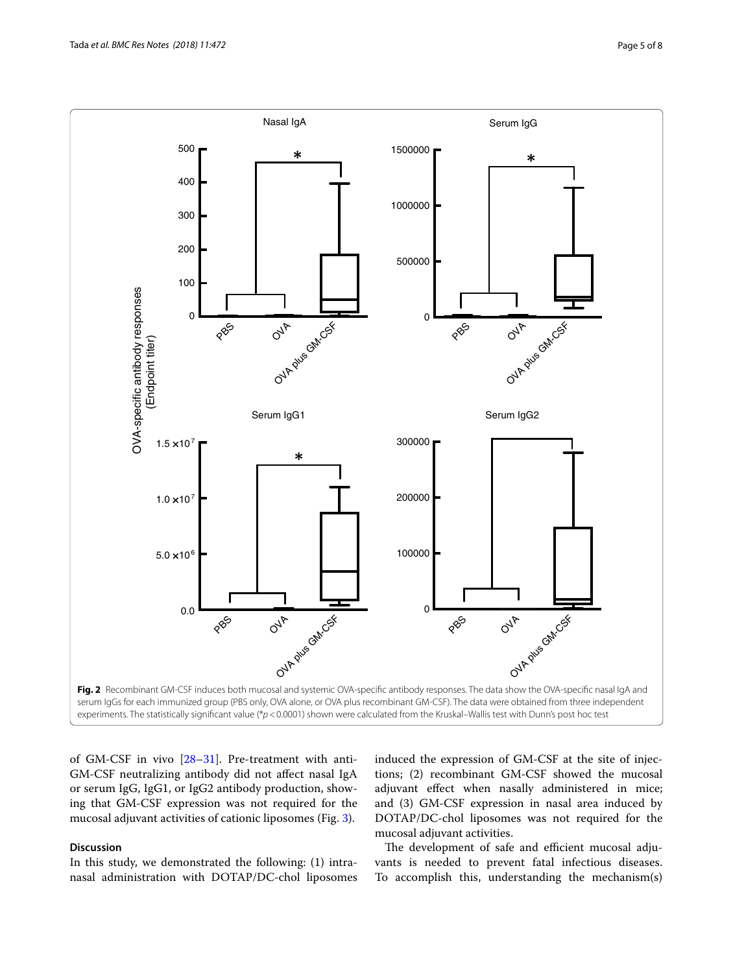

<span id="page-4-0"></span>of GM-CSF in vivo [\[28](#page-7-19)[–31](#page-7-20)]. Pre-treatment with anti-GM-CSF neutralizing antibody did not afect nasal IgA or serum IgG, IgG1, or IgG2 antibody production, showing that GM-CSF expression was not required for the mucosal adjuvant activities of cationic liposomes (Fig. [3](#page-5-0)).

## **Discussion**

In this study, we demonstrated the following: (1) intranasal administration with DOTAP/DC-chol liposomes induced the expression of GM-CSF at the site of injections; (2) recombinant GM-CSF showed the mucosal adjuvant efect when nasally administered in mice; and (3) GM-CSF expression in nasal area induced by DOTAP/DC-chol liposomes was not required for the mucosal adjuvant activities.

The development of safe and efficient mucosal adjuvants is needed to prevent fatal infectious diseases. To accomplish this, understanding the mechanism(s)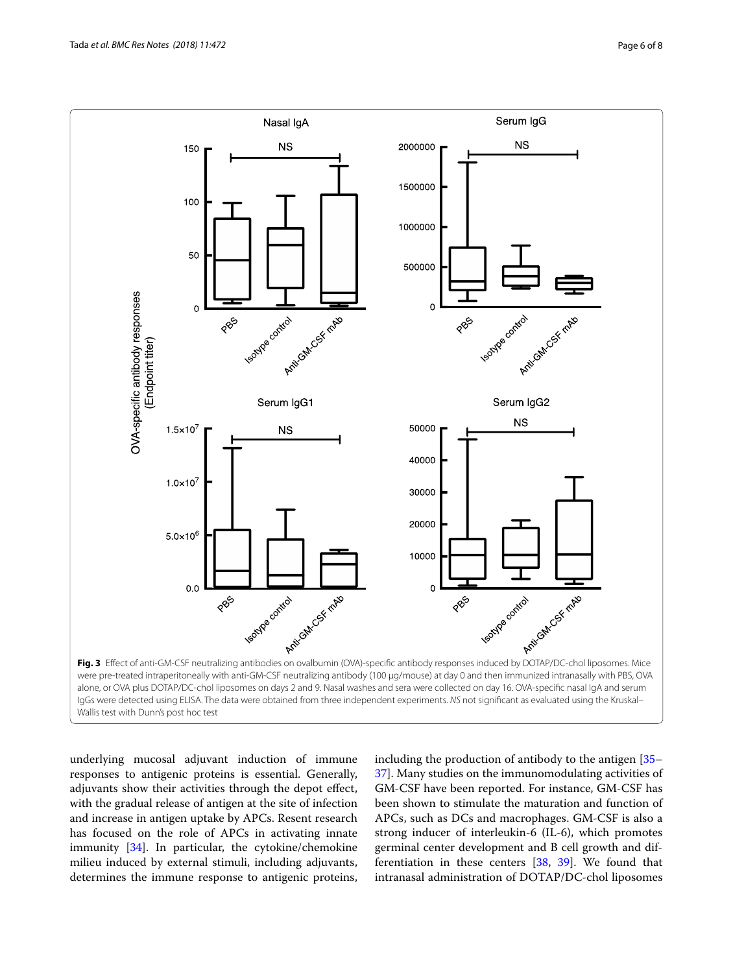

<span id="page-5-0"></span>underlying mucosal adjuvant induction of immune responses to antigenic proteins is essential. Generally, adjuvants show their activities through the depot efect, with the gradual release of antigen at the site of infection and increase in antigen uptake by APCs. Resent research has focused on the role of APCs in activating innate immunity [[34](#page-7-23)]. In particular, the cytokine/chemokine milieu induced by external stimuli, including adjuvants, determines the immune response to antigenic proteins,

including the production of antibody to the antigen [[35–](#page-7-24) [37\]](#page-7-25). Many studies on the immunomodulating activities of GM-CSF have been reported. For instance, GM-CSF has been shown to stimulate the maturation and function of APCs, such as DCs and macrophages. GM-CSF is also a strong inducer of interleukin-6 (IL-6), which promotes germinal center development and B cell growth and differentiation in these centers [[38,](#page-7-26) [39](#page-7-27)]. We found that intranasal administration of DOTAP/DC-chol liposomes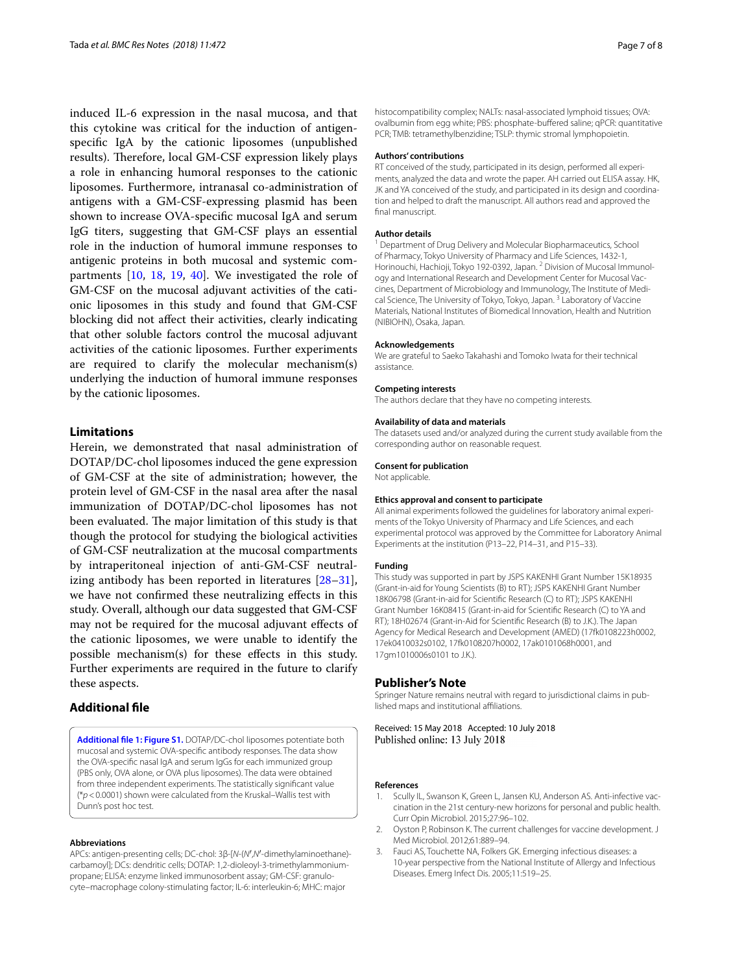induced IL-6 expression in the nasal mucosa, and that this cytokine was critical for the induction of antigenspecifc IgA by the cationic liposomes (unpublished results). Therefore, local GM-CSF expression likely plays a role in enhancing humoral responses to the cationic liposomes. Furthermore, intranasal co-administration of antigens with a GM-CSF-expressing plasmid has been shown to increase OVA-specifc mucosal IgA and serum IgG titers, suggesting that GM-CSF plays an essential role in the induction of humoral immune responses to antigenic proteins in both mucosal and systemic compartments [\[10](#page-7-5), [18](#page-7-10), [19](#page-7-11), [40\]](#page-7-28). We investigated the role of GM-CSF on the mucosal adjuvant activities of the cationic liposomes in this study and found that GM-CSF blocking did not afect their activities, clearly indicating that other soluble factors control the mucosal adjuvant activities of the cationic liposomes. Further experiments are required to clarify the molecular mechanism(s) underlying the induction of humoral immune responses by the cationic liposomes.

## **Limitations**

Herein, we demonstrated that nasal administration of DOTAP/DC-chol liposomes induced the gene expression of GM-CSF at the site of administration; however, the protein level of GM-CSF in the nasal area after the nasal immunization of DOTAP/DC-chol liposomes has not been evaluated. The major limitation of this study is that though the protocol for studying the biological activities of GM-CSF neutralization at the mucosal compartments by intraperitoneal injection of anti-GM-CSF neutralizing antibody has been reported in literatures [[28](#page-7-19)[–31](#page-7-20)], we have not confrmed these neutralizing efects in this study. Overall, although our data suggested that GM-CSF may not be required for the mucosal adjuvant efects of the cationic liposomes, we were unable to identify the possible mechanism(s) for these efects in this study. Further experiments are required in the future to clarify these aspects.

## **Additional fle**

<span id="page-6-2"></span>**[Additional fle 1: Figure S1.](https://doi.org/10.1186/s13104-018-3591-3)** DOTAP/DC-chol liposomes potentiate both mucosal and systemic OVA-specifc antibody responses. The data show the OVA-specifc nasal IgA and serum IgGs for each immunized group (PBS only, OVA alone, or OVA plus liposomes). The data were obtained from three independent experiments. The statistically signifcant value (\**p*<0.0001) shown were calculated from the Kruskal–Wallis test with Dunn's post hoc test.

### **Abbreviations**

APCs: antigen-presenting cells; DC-chol: 3β-[*N*-(*N*′,*N*′-dimethylaminoethane) carbamoyl]; DCs: dendritic cells; DOTAP: 1,2-dioleoyl-3-trimethylammoniumpropane; ELISA: enzyme linked immunosorbent assay; GM-CSF: granulocyte–macrophage colony-stimulating factor; IL-6: interleukin-6; MHC: major

histocompatibility complex; NALTs: nasal-associated lymphoid tissues; OVA: ovalbumin from egg white; PBS: phosphate-buffered saline; gPCR: quantitative PCR; TMB: tetramethylbenzidine; TSLP: thymic stromal lymphopoietin.

#### **Authors' contributions**

RT conceived of the study, participated in its design, performed all experiments, analyzed the data and wrote the paper. AH carried out ELISA assay. HK, JK and YA conceived of the study, and participated in its design and coordination and helped to draft the manuscript. All authors read and approved the fnal manuscript.

#### **Author details**

<sup>1</sup> Department of Drug Delivery and Molecular Biopharmaceutics, School of Pharmacy, Tokyo University of Pharmacy and Life Sciences, 1432-1, Horinouchi, Hachioji, Tokyo 192-0392, Japan. <sup>2</sup> Division of Mucosal Immunology and International Research and Development Center for Mucosal Vaccines, Department of Microbiology and Immunology, The Institute of Medical Science, The University of Tokyo, Tokyo, Japan.<sup>3</sup> Laboratory of Vaccine Materials, National Institutes of Biomedical Innovation, Health and Nutrition (NIBIOHN), Osaka, Japan.

#### **Acknowledgements**

We are grateful to Saeko Takahashi and Tomoko Iwata for their technical assistance.

#### **Competing interests**

The authors declare that they have no competing interests.

#### **Availability of data and materials**

The datasets used and/or analyzed during the current study available from the corresponding author on reasonable request.

#### **Consent for publication**

Not applicable.

#### **Ethics approval and consent to participate**

All animal experiments followed the guidelines for laboratory animal experiments of the Tokyo University of Pharmacy and Life Sciences, and each experimental protocol was approved by the Committee for Laboratory Animal Experiments at the institution (P13–22, P14–31, and P15–33).

#### **Funding**

This study was supported in part by JSPS KAKENHI Grant Number 15K18935 (Grant-in-aid for Young Scientists (B) to RT); JSPS KAKENHI Grant Number 18K06798 (Grant-in-aid for Scientifc Research (C) to RT); JSPS KAKENHI Grant Number 16K08415 (Grant-in-aid for Scientifc Research (C) to YA and RT); 18H02674 (Grant-in-Aid for Scientifc Research (B) to J.K.). The Japan Agency for Medical Research and Development (AMED) (17fk0108223h0002, 17ek0410032s0102, 17fk0108207h0002, 17ak0101068h0001, and 17gm1010006s0101 to J.K.).

#### **Publisher's Note**

Springer Nature remains neutral with regard to jurisdictional claims in published maps and institutional affiliations.

Received: 15 May 2018 Accepted: 10 July 2018 Published online: 13 July 2018

#### **References**

- <span id="page-6-0"></span>Scully IL, Swanson K, Green L, Jansen KU, Anderson AS. Anti-infective vaccination in the 21st century-new horizons for personal and public health. Curr Opin Microbiol. 2015;27:96–102.
- 2. Oyston P, Robinson K. The current challenges for vaccine development. J Med Microbiol. 2012;61:889–94.
- <span id="page-6-1"></span>3. Fauci AS, Touchette NA, Folkers GK. Emerging infectious diseases: a 10-year perspective from the National Institute of Allergy and Infectious Diseases. Emerg Infect Dis. 2005;11:519–25.